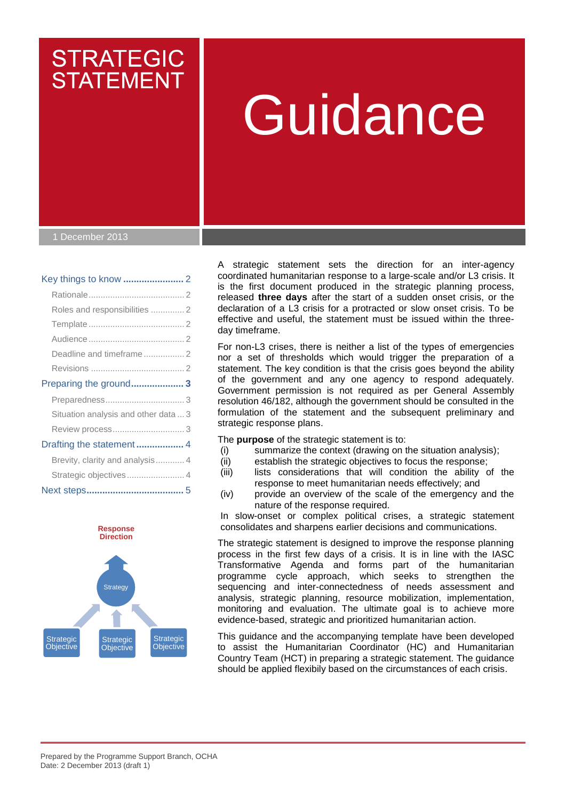# Guidance

1 December 2013

# Key things to know **.......................** 2

**STRATEGIC** 

**STATEMENT** 

| Roles and responsibilities  2        |  |
|--------------------------------------|--|
|                                      |  |
|                                      |  |
| Deadline and timeframe  2            |  |
|                                      |  |
| Preparing the ground 3               |  |
|                                      |  |
| Situation analysis and other data  3 |  |
|                                      |  |
| Drafting the statement  4            |  |
| Brevity, clarity and analysis 4      |  |
|                                      |  |
|                                      |  |



A strategic statement sets the direction for an inter-agency coordinated humanitarian response to a large-scale and/or L3 crisis. It is the first document produced in the strategic planning process, released **three days** after the start of a sudden onset crisis, or the declaration of a L3 crisis for a protracted or slow onset crisis. To be effective and useful, the statement must be issued within the threeday timeframe.

For non-L3 crises, there is neither a list of the types of emergencies nor a set of thresholds which would trigger the preparation of a statement. The key condition is that the crisis goes beyond the ability of the government and any one agency to respond adequately. Government permission is not required as per General Assembly resolution 46/182, although the government should be consulted in the formulation of the statement and the subsequent preliminary and strategic response plans.

The **purpose** of the strategic statement is to:

- (i) summarize the context (drawing on the situation analysis);
- (ii) establish the strategic objectives to focus the response;
- (iii) lists considerations that will condition the ability of the response to meet humanitarian needs effectively; and
- (iv) provide an overview of the scale of the emergency and the nature of the response required.

In slow-onset or complex political crises, a strategic statement consolidates and sharpens earlier decisions and communications.

The strategic statement is designed to improve the response planning process in the first few days of a crisis. It is in line with the IASC Transformative Agenda and forms part of the humanitarian programme cycle approach, which seeks to strengthen the sequencing and inter-connectedness of needs assessment and analysis, strategic planning, resource mobilization, implementation, monitoring and evaluation. The ultimate goal is to achieve more evidence-based, strategic and prioritized humanitarian action.

This guidance and the accompanying template have been developed to assist the Humanitarian Coordinator (HC) and Humanitarian Country Team (HCT) in preparing a strategic statement. The guidance should be applied flexibily based on the circumstances of each crisis.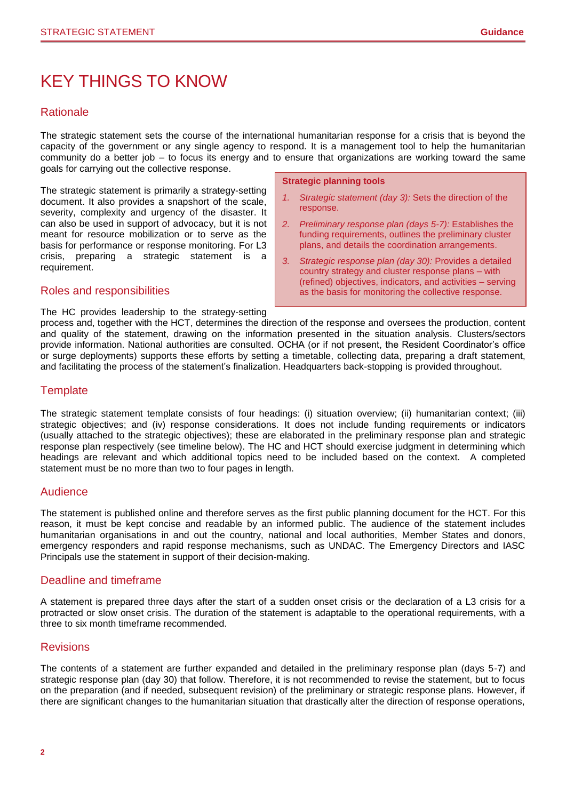# KEY THINGS TO KNOW

# **Rationale**

The strategic statement sets the course of the international humanitarian response for a crisis that is beyond the capacity of the government or any single agency to respond. It is a management tool to help the humanitarian community do a better job – to focus its energy and to ensure that organizations are working toward the same goals for carrying out the collective response.

The strategic statement is primarily a strategy-setting document. It also provides a snapshort of the scale, severity, complexity and urgency of the disaster. It can also be used in support of advocacy, but it is not meant for resource mobilization or to serve as the basis for performance or response monitoring. For L3 crisis, preparing a strategic statement is a requirement.

# Roles and responsibilities

The HC provides leadership to the strategy-setting

**Strategic planning tools**

- *1. Strategic statement (day 3):* Sets the direction of the response.
- *2. Preliminary response plan (days 5-7):* Establishes the funding requirements, outlines the preliminary cluster plans, and details the coordination arrangements.
- *3. Strategic response plan (day 30):* Provides a detailed country strategy and cluster response plans – with (refined) objectives, indicators, and activities – serving as the basis for monitoring the collective response.

process and, together with the HCT, determines the direction of the response and oversees the production, content and quality of the statement, drawing on the information presented in the situation analysis. Clusters/sectors provide information. National authorities are consulted. OCHA (or if not present, the Resident Coordinator's office or surge deployments) supports these efforts by setting a timetable, collecting data, preparing a draft statement, and facilitating the process of the statement's finalization. Headquarters back-stopping is provided throughout.

# **Template**

The strategic statement template consists of four headings: (i) situation overview; (ii) humanitarian context; (iii) strategic objectives; and (iv) response considerations. It does not include funding requirements or indicators (usually attached to the strategic objectives); these are elaborated in the preliminary response plan and strategic response plan respectively (see timeline below). The HC and HCT should exercise judgment in determining which headings are relevant and which additional topics need to be included based on the context. A completed statement must be no more than two to four pages in length.

# Audience

The statement is published online and therefore serves as the first public planning document for the HCT. For this reason, it must be kept concise and readable by an informed public. The audience of the statement includes humanitarian organisations in and out the country, national and local authorities, Member States and donors, emergency responders and rapid response mechanisms, such as UNDAC. The Emergency Directors and IASC Principals use the statement in support of their decision-making.

# Deadline and timeframe

A statement is prepared three days after the start of a sudden onset crisis or the declaration of a L3 crisis for a protracted or slow onset crisis. The duration of the statement is adaptable to the operational requirements, with a three to six month timeframe recommended.

# **Revisions**

The contents of a statement are further expanded and detailed in the preliminary response plan (days 5-7) and strategic response plan (day 30) that follow. Therefore, it is not recommended to revise the statement, but to focus on the preparation (and if needed, subsequent revision) of the preliminary or strategic response plans. However, if there are significant changes to the humanitarian situation that drastically alter the direction of response operations,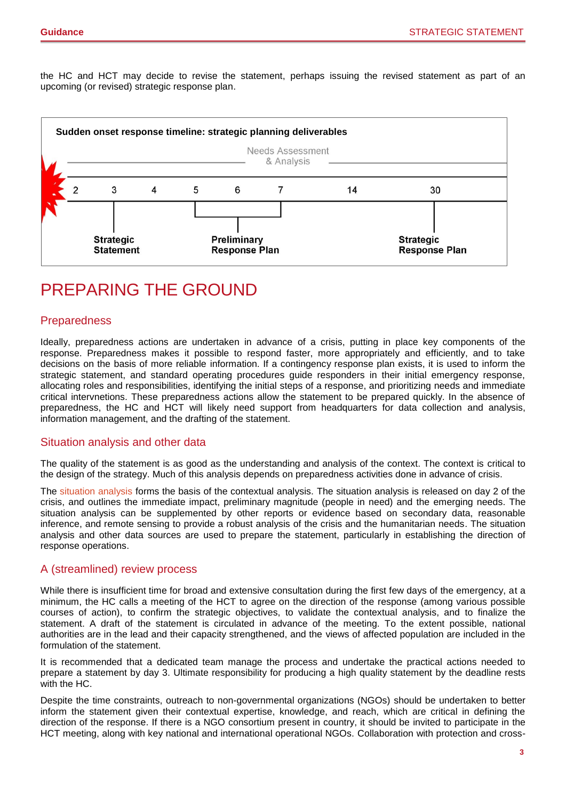the HC and HCT may decide to revise the statement, perhaps issuing the revised statement as part of an upcoming (or revised) strategic response plan.



# PREPARING THE GROUND

# Preparedness

Ideally, preparedness actions are undertaken in advance of a crisis, putting in place key components of the response. Preparedness makes it possible to respond faster, more appropriately and efficiently, and to take decisions on the basis of more reliable information. If a contingency response plan exists, it is used to inform the strategic statement, and standard operating procedures guide responders in their initial emergency response, allocating roles and responsibilities, identifying the initial steps of a response, and prioritizing needs and immediate critical intervnetions. These preparedness actions allow the statement to be prepared quickly. In the absence of preparedness, the HC and HCT will likely need support from headquarters for data collection and analysis, information management, and the drafting of the statement.

# Situation analysis and other data

The quality of the statement is as good as the understanding and analysis of the context. The context is critical to the design of the strategy. Much of this analysis depends on preparedness activities done in advance of crisis.

The [situation analysis](https://assessments.humanitarianresponse.info/guidance) forms the basis of the contextual analysis. The situation analysis is released on day 2 of the crisis, and outlines the immediate impact, preliminary magnitude (people in need) and the emerging needs. The situation analysis can be supplemented by other reports or evidence based on secondary data, reasonable inference, and remote sensing to provide a robust analysis of the crisis and the humanitarian needs. The situation analysis and other data sources are used to prepare the statement, particularly in establishing the direction of response operations.

# A (streamlined) review process

While there is insufficient time for broad and extensive consultation during the first few days of the emergency, at a minimum, the HC calls a meeting of the HCT to agree on the direction of the response (among various possible courses of action), to confirm the strategic objectives, to validate the contextual analysis, and to finalize the statement. A draft of the statement is circulated in advance of the meeting. To the extent possible, national authorities are in the lead and their capacity strengthened, and the views of affected population are included in the formulation of the statement.

It is recommended that a dedicated team manage the process and undertake the practical actions needed to prepare a statement by day 3. Ultimate responsibility for producing a high quality statement by the deadline rests with the HC.

Despite the time constraints, outreach to non-governmental organizations (NGOs) should be undertaken to better inform the statement given their contextual expertise, knowledge, and reach, which are critical in defining the direction of the response. If there is a NGO consortium present in country, it should be invited to participate in the HCT meeting, along with key national and international operational NGOs. Collaboration with protection and cross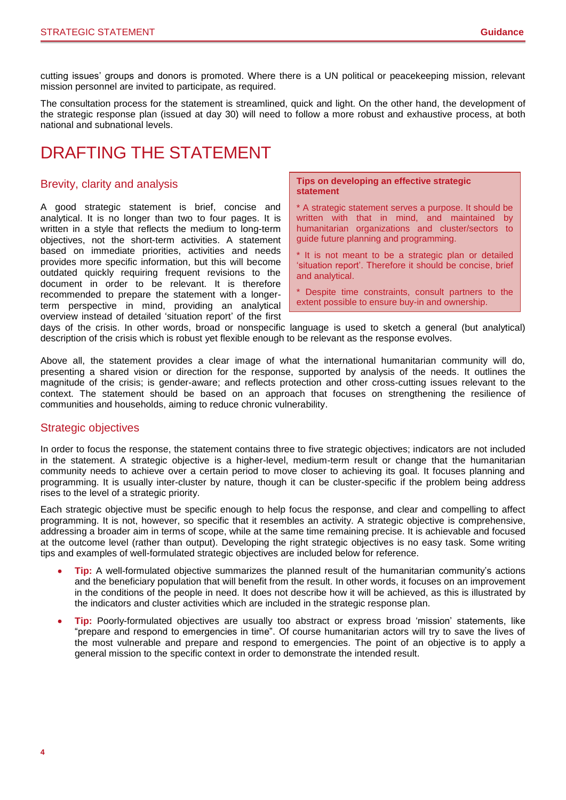cutting issues' groups and donors is promoted. Where there is a UN political or peacekeeping mission, relevant mission personnel are invited to participate, as required.

The consultation process for the statement is streamlined, quick and light. On the other hand, the development of the strategic response plan (issued at day 30) will need to follow a more robust and exhaustive process, at both national and subnational levels.

# DRAFTING THE STATEMENT

# Brevity, clarity and analysis

A good strategic statement is brief, concise and analytical. It is no longer than two to four pages. It is written in a style that reflects the medium to long-term objectives, not the short-term activities. A statement based on immediate priorities, activities and needs provides more specific information, but this will become outdated quickly requiring frequent revisions to the document in order to be relevant. It is therefore recommended to prepare the statement with a longerterm perspective in mind, providing an analytical overview instead of detailed 'situation report' of the first

### **Tips on developing an effective strategic statement**

- \* A strategic statement serves a purpose. It should be written with that in mind, and maintained by humanitarian organizations and cluster/sectors to guide future planning and programming.
- It is not meant to be a strategic plan or detailed 'situation report'. Therefore it should be concise, brief and analytical.
- \* Despite time constraints, consult partners to the extent possible to ensure buy-in and ownership.

days of the crisis. In other words, broad or nonspecific language is used to sketch a general (but analytical) description of the crisis which is robust yet flexible enough to be relevant as the response evolves.

Above all, the statement provides a clear image of what the international humanitarian community will do, presenting a shared vision or direction for the response, supported by analysis of the needs. It outlines the magnitude of the crisis; is gender-aware; and reflects protection and other cross-cutting issues relevant to the context. The statement should be based on an approach that focuses on strengthening the resilience of communities and households, aiming to reduce chronic vulnerability.

# Strategic objectives

In order to focus the response, the statement contains three to five strategic objectives; indicators are not included in the statement. A strategic objective is a higher-level, medium-term result or change that the humanitarian community needs to achieve over a certain period to move closer to achieving its goal. It focuses planning and programming. It is usually inter-cluster by nature, though it can be cluster-specific if the problem being address rises to the level of a strategic priority.

Each strategic objective must be specific enough to help focus the response, and clear and compelling to affect programming. It is not, however, so specific that it resembles an activity. A strategic objective is comprehensive, addressing a broader aim in terms of scope, while at the same time remaining precise. It is achievable and focused at the outcome level (rather than output). Developing the right strategic objectives is no easy task. Some writing tips and examples of well-formulated strategic objectives are included below for reference.

- **Tip:** A well-formulated objective summarizes the planned result of the humanitarian community's actions and the beneficiary population that will benefit from the result. In other words, it focuses on an improvement in the conditions of the people in need. It does not describe how it will be achieved, as this is illustrated by the indicators and cluster activities which are included in the strategic response plan.
- **Tip:** Poorly-formulated objectives are usually too abstract or express broad 'mission' statements, like "prepare and respond to emergencies in time". Of course humanitarian actors will try to save the lives of the most vulnerable and prepare and respond to emergencies. The point of an objective is to apply a general mission to the specific context in order to demonstrate the intended result.